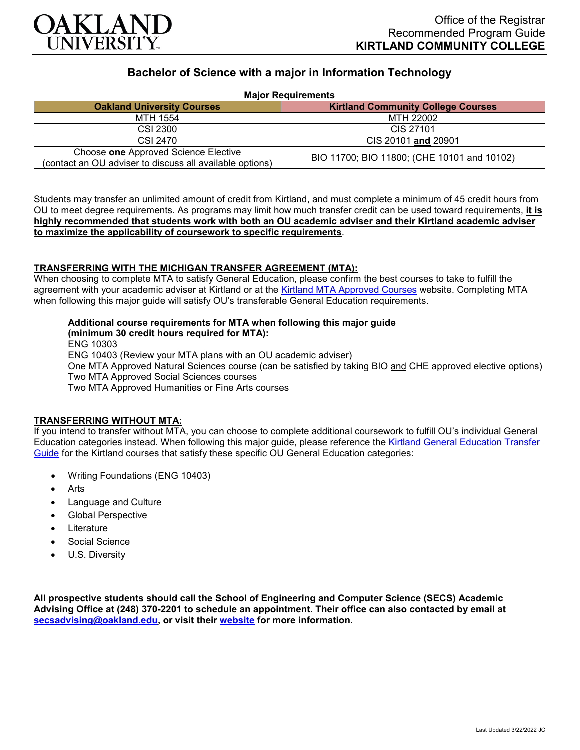

# **Bachelor of Science with a major in Information Technology**

| <b>Major Requirements</b>                                                                        |                                             |
|--------------------------------------------------------------------------------------------------|---------------------------------------------|
| <b>Oakland University Courses</b>                                                                | <b>Kirtland Community College Courses</b>   |
| MTH 1554                                                                                         | MTH 22002                                   |
| CSI 2300                                                                                         | CIS 27101                                   |
| CSI 2470                                                                                         | CIS 20101 and 20901                         |
| Choose one Approved Science Elective<br>(contact an OU adviser to discuss all available options) | BIO 11700; BIO 11800; (CHE 10101 and 10102) |

Students may transfer an unlimited amount of credit from Kirtland, and must complete a minimum of 45 credit hours from OU to meet degree requirements. As programs may limit how much transfer credit can be used toward requirements, **it is highly recommended that students work with both an OU academic adviser and their Kirtland academic adviser to maximize the applicability of coursework to specific requirements**.

# **TRANSFERRING WITH THE MICHIGAN TRANSFER AGREEMENT (MTA):**

When choosing to complete MTA to satisfy General Education, please confirm the best courses to take to fulfill the agreement with your academic adviser at Kirtland or at the [Kirtland MTA Approved Courses](https://www.kirtland.edu/registrar/michigan-transfer-agreement) website. Completing MTA when following this major guide will satisfy OU's transferable General Education requirements.

# **Additional course requirements for MTA when following this major guide**

**(minimum 30 credit hours required for MTA):**

ENG 10303

ENG 10403 (Review your MTA plans with an OU academic adviser)

One MTA Approved Natural Sciences course (can be satisfied by taking BIO and CHE approved elective options) Two MTA Approved Social Sciences courses

Two MTA Approved Humanities or Fine Arts courses

#### **TRANSFERRING WITHOUT MTA:**

If you intend to transfer without MTA, you can choose to complete additional coursework to fulfill OU's individual General Education categories instead. When following this major guide, please reference the [Kirtland General Education Transfer](https://www.oakland.edu/Assets/Oakland/program-guides/kirtland-community-college/university-general-education-requirements/Kirtland%20Gen%20Ed.pdf)  [Guide](https://www.oakland.edu/Assets/Oakland/program-guides/kirtland-community-college/university-general-education-requirements/Kirtland%20Gen%20Ed.pdf) for the Kirtland courses that satisfy these specific OU General Education categories:

- Writing Foundations (ENG 10403)
- **Arts**
- Language and Culture
- Global Perspective
- **Literature**
- Social Science
- U.S. Diversity

**All prospective students should call the School of Engineering and Computer Science (SECS) Academic Advising Office at (248) 370-2201 to schedule an appointment. Their office can also contacted by email at [secsadvising@oakland.edu,](mailto:secsadvising@oakland.edu) or visit their [website](https://wwwp.oakland.edu/secs/advising/) for more information.**